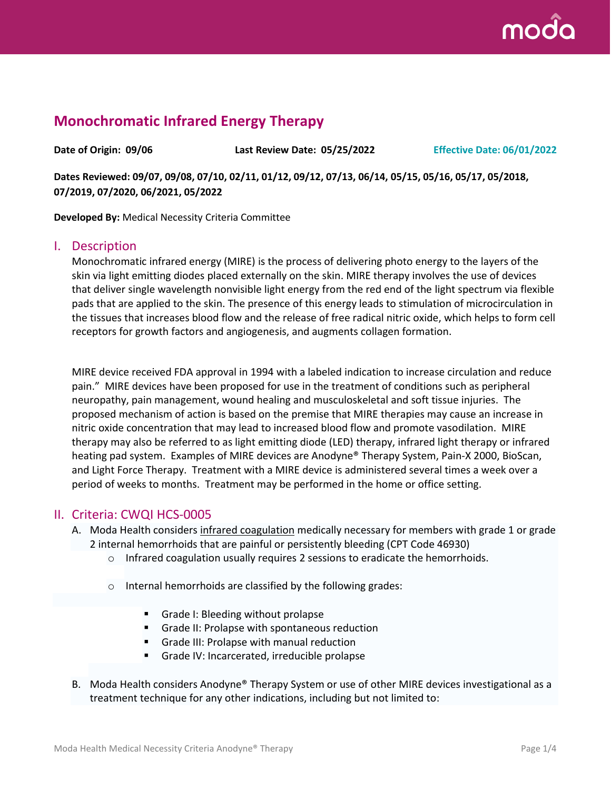

# **Monochromatic Infrared Energy Therapy**

**Date of Origin: 09/06 Last Review Date: 05/25/2022 Effective Date: 06/01/2022**

**Dates Reviewed: 09/07, 09/08, 07/10, 02/11, 01/12, 09/12, 07/13, 06/14, 05/15, 05/16, 05/17, 05/2018, 07/2019, 07/2020, 06/2021, 05/2022**

**Developed By:** Medical Necessity Criteria Committee

#### I. Description

Monochromatic infrared energy (MIRE) is the process of delivering photo energy to the layers of the skin via light emitting diodes placed externally on the skin. MIRE therapy involves the use of devices that deliver single wavelength nonvisible light energy from the red end of the light spectrum via flexible pads that are applied to the skin. The presence of this energy leads to stimulation of microcirculation in the tissues that increases blood flow and the release of free radical nitric oxide, which helps to form cell receptors for growth factors and angiogenesis, and augments collagen formation.

MIRE device received FDA approval in 1994 with a labeled indication to increase circulation and reduce pain." MIRE devices have been proposed for use in the treatment of conditions such as peripheral neuropathy, pain management, wound healing and musculoskeletal and soft tissue injuries. The proposed mechanism of action is based on the premise that MIRE therapies may cause an increase in nitric oxide concentration that may lead to increased blood flow and promote vasodilation. MIRE therapy may also be referred to as light emitting diode (LED) therapy, infrared light therapy or infrared heating pad system. Examples of MIRE devices are Anodyne® Therapy System, Pain-X 2000, BioScan, and Light Force Therapy. Treatment with a MIRE device is administered several times a week over a period of weeks to months. Treatment may be performed in the home or office setting.

#### II. Criteria: CWQI HCS-0005

- A. Moda Health considers infrared coagulation medically necessary for members with grade 1 or grade 2 internal hemorrhoids that are painful or persistently bleeding (CPT Code 46930)
	- $\circ$  Infrared coagulation usually requires 2 sessions to eradicate the hemorrhoids.
	- o Internal hemorrhoids are classified by the following grades:
		- Grade I: Bleeding without prolapse
		- Grade II: Prolapse with spontaneous reduction
		- Grade III: Prolapse with manual reduction
		- Grade IV: Incarcerated, irreducible prolapse
- B. Moda Health considers Anodyne® Therapy System or use of other MIRE devices investigational as a treatment technique for any other indications, including but not limited to: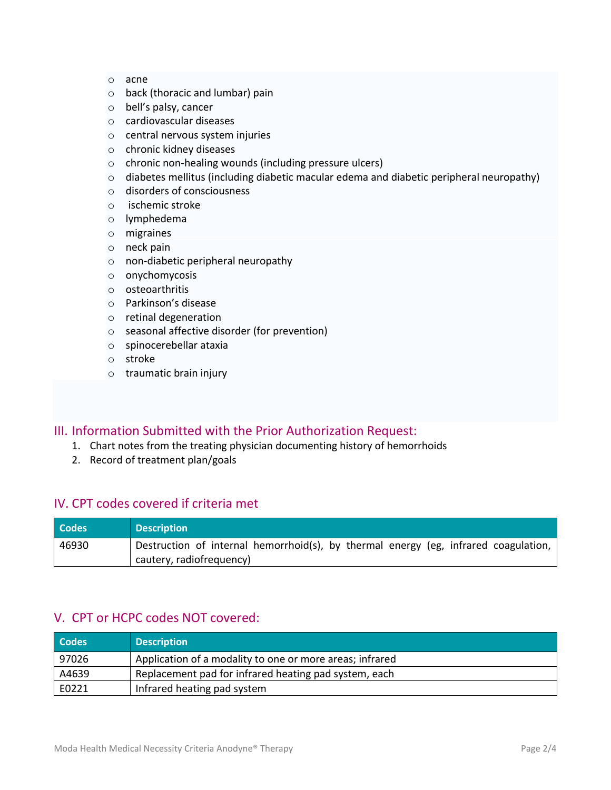- o acne
- o back (thoracic and lumbar) pain
- o bell's palsy, cancer
- o cardiovascular diseases
- o central nervous system injuries
- o chronic kidney diseases
- o chronic non-healing wounds (including pressure ulcers)
- o diabetes mellitus (including diabetic macular edema and diabetic peripheral neuropathy)
- o disorders of consciousness
- o ischemic stroke
- o lymphedema
- o migraines
- o neck pain
- o non-diabetic peripheral neuropathy
- o onychomycosis
- o osteoarthritis
- o Parkinson's disease
- o retinal degeneration
- o seasonal affective disorder (for prevention)
- o spinocerebellar ataxia
- o stroke
- o traumatic brain injury

### III. Information Submitted with the Prior Authorization Request:

- 1. Chart notes from the treating physician documenting history of hemorrhoids
- 2. Record of treatment plan/goals

### IV. CPT codes covered if criteria met

| <b>Codes</b> | <b>Description</b>                                                                                              |
|--------------|-----------------------------------------------------------------------------------------------------------------|
| 46930        | Destruction of internal hemorrhoid(s), by thermal energy (eg, infrared coagulation,<br>cautery, radiofrequency) |

### V. CPT or HCPC codes NOT covered:

| <b>Codes</b> | <b>Description</b>                                       |
|--------------|----------------------------------------------------------|
| 97026        | Application of a modality to one or more areas; infrared |
| A4639        | Replacement pad for infrared heating pad system, each    |
| E0221        | Infrared heating pad system                              |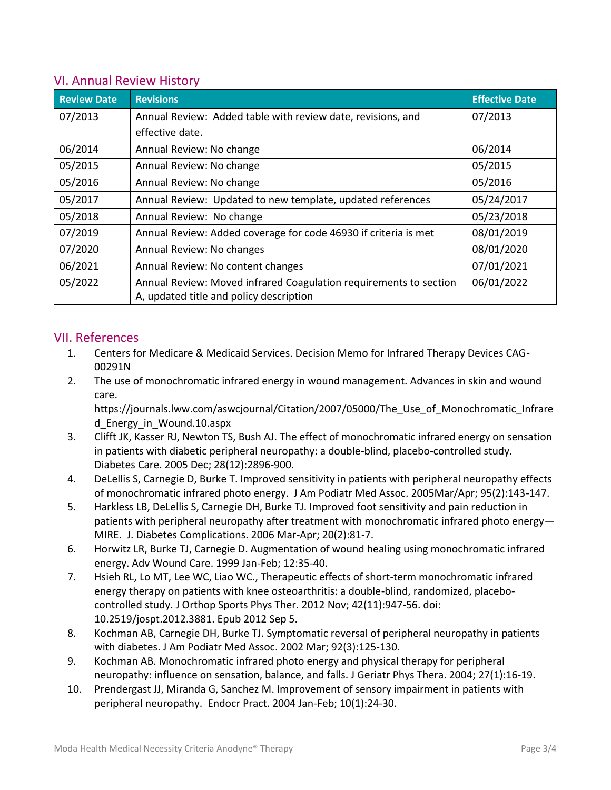### VI. Annual Review History

| <b>Review Date</b> | <b>Revisions</b>                                                  | <b>Effective Date</b> |
|--------------------|-------------------------------------------------------------------|-----------------------|
| 07/2013            | Annual Review: Added table with review date, revisions, and       | 07/2013               |
|                    | effective date.                                                   |                       |
| 06/2014            | Annual Review: No change                                          | 06/2014               |
| 05/2015            | Annual Review: No change                                          | 05/2015               |
| 05/2016            | Annual Review: No change                                          | 05/2016               |
| 05/2017            | Annual Review: Updated to new template, updated references        | 05/24/2017            |
| 05/2018            | Annual Review: No change                                          | 05/23/2018            |
| 07/2019            | Annual Review: Added coverage for code 46930 if criteria is met   | 08/01/2019            |
| 07/2020            | Annual Review: No changes                                         | 08/01/2020            |
| 06/2021            | Annual Review: No content changes                                 | 07/01/2021            |
| 05/2022            | Annual Review: Moved infrared Coagulation requirements to section | 06/01/2022            |
|                    | A, updated title and policy description                           |                       |

## VII. References

- 1. Centers for Medicare & Medicaid Services. Decision Memo for Infrared Therapy Devices CAG-00291N
- 2. The use of monochromatic infrared energy in wound management. Advances in skin and wound care.

https://journals.lww.com/aswcjournal/Citation/2007/05000/The\_Use\_of\_Monochromatic\_Infrare d\_Energy\_in\_Wound.10.aspx

- 3. Clifft JK, Kasser RJ, Newton TS, Bush AJ. The effect of monochromatic infrared energy on sensation in patients with diabetic peripheral neuropathy: a double-blind, placebo-controlled study. Diabetes Care. 2005 Dec; 28(12):2896-900.
- 4. DeLellis S, Carnegie D, Burke T. Improved sensitivity in patients with peripheral neuropathy effects of monochromatic infrared photo energy. J Am Podiatr Med Assoc. 2005Mar/Apr; 95(2):143-147.
- 5. Harkless LB, DeLellis S, Carnegie DH, Burke TJ. Improved foot sensitivity and pain reduction in patients with peripheral neuropathy after treatment with monochromatic infrared photo energy— MIRE. J. Diabetes Complications. 2006 Mar-Apr; 20(2):81-7.
- 6. Horwitz LR, Burke TJ, Carnegie D. Augmentation of wound healing using monochromatic infrared energy. Adv Wound Care. 1999 Jan-Feb; 12:35-40.
- 7. [Hsieh RL,](https://www.ncbi.nlm.nih.gov/pubmed/?term=Hsieh%20RL%5BAuthor%5D&cauthor=true&cauthor_uid=22960644) [Lo MT,](https://www.ncbi.nlm.nih.gov/pubmed/?term=Lo%20MT%5BAuthor%5D&cauthor=true&cauthor_uid=22960644) [Lee WC,](https://www.ncbi.nlm.nih.gov/pubmed/?term=Lee%20WC%5BAuthor%5D&cauthor=true&cauthor_uid=22960644) [Liao WC.](https://www.ncbi.nlm.nih.gov/pubmed/?term=Liao%20WC%5BAuthor%5D&cauthor=true&cauthor_uid=22960644), Therapeutic effects of short-term monochromatic infrared energy therapy on patients with knee osteoarthritis: a double-blind, randomized, placebocontrolled study. [J Orthop Sports Phys Ther.](https://www.ncbi.nlm.nih.gov/pubmed/22960644) 2012 Nov; 42(11):947-56. doi: 10.2519/jospt.2012.3881. Epub 2012 Sep 5.
- 8. Kochman AB, Carnegie DH, Burke TJ. Symptomatic reversal of peripheral neuropathy in patients with diabetes. J Am Podiatr Med Assoc. 2002 Mar; 92(3):125-130.
- 9. Kochman AB. Monochromatic infrared photo energy and physical therapy for peripheral neuropathy: influence on sensation, balance, and falls. J Geriatr Phys Thera. 2004; 27(1):16-19.
- 10. Prendergast JJ, Miranda G, Sanchez M. Improvement of sensory impairment in patients with peripheral neuropathy. Endocr Pract. 2004 Jan-Feb; 10(1):24-30.